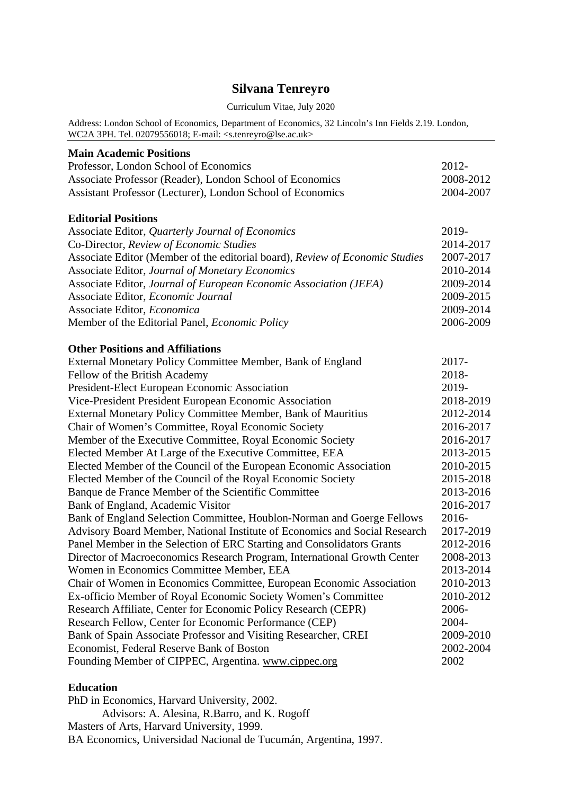# **Silvana Tenreyro**

#### Curriculum Vitae, July 2020

Address: London School of Economics, Department of Economics, 32 Lincoln's Inn Fields 2.19. London, WC2A 3PH. Tel. 02079556018; E-mail: <s.tenreyro@lse.ac.uk>

| <b>Main Academic Positions</b>                                               |                        |
|------------------------------------------------------------------------------|------------------------|
| Professor, London School of Economics                                        | 2012-                  |
| Associate Professor (Reader), London School of Economics                     | 2008-2012              |
| Assistant Professor (Lecturer), London School of Economics                   | 2004-2007              |
| <b>Editorial Positions</b>                                                   |                        |
| Associate Editor, Quarterly Journal of Economics                             | 2019-                  |
| Co-Director, Review of Economic Studies                                      | 2014-2017              |
| Associate Editor (Member of the editorial board), Review of Economic Studies | 2007-2017              |
| Associate Editor, Journal of Monetary Economics                              | 2010-2014              |
| Associate Editor, Journal of European Economic Association (JEEA)            | 2009-2014              |
| Associate Editor, Economic Journal                                           | 2009-2015              |
| Associate Editor, Economica                                                  | 2009-2014              |
| Member of the Editorial Panel, <i>Economic Policy</i>                        | 2006-2009              |
| <b>Other Positions and Affiliations</b>                                      |                        |
| External Monetary Policy Committee Member, Bank of England                   | 2017-                  |
| Fellow of the British Academy                                                | 2018-                  |
| President-Elect European Economic Association                                | 2019-                  |
| Vice-President President European Economic Association                       | 2018-2019              |
| External Monetary Policy Committee Member, Bank of Mauritius                 | 2012-2014              |
| Chair of Women's Committee, Royal Economic Society                           |                        |
| Member of the Executive Committee, Royal Economic Society                    | 2016-2017<br>2016-2017 |
| Elected Member At Large of the Executive Committee, EEA                      |                        |
| Elected Member of the Council of the European Economic Association           | 2013-2015<br>2010-2015 |
| Elected Member of the Council of the Royal Economic Society                  |                        |
| Banque de France Member of the Scientific Committee                          |                        |
| Bank of England, Academic Visitor                                            |                        |
| Bank of England Selection Committee, Houblon-Norman and Goerge Fellows       | 2016-2017<br>$2016 -$  |
| Advisory Board Member, National Institute of Economics and Social Research   | 2017-2019              |
| Panel Member in the Selection of ERC Starting and Consolidators Grants       | 2012-2016              |
| Director of Macroeconomics Research Program, International Growth Center     | 2008-2013              |
| Women in Economics Committee Member, EEA                                     | 2013-2014              |
| Chair of Women in Economics Committee, European Economic Association         |                        |
| Ex-officio Member of Royal Economic Society Women's Committee                | 2010-2012              |
| Research Affiliate, Center for Economic Policy Research (CEPR)               | 2006-                  |
| Research Fellow, Center for Economic Performance (CEP)                       | 2004-                  |
| Bank of Spain Associate Professor and Visiting Researcher, CREI              | 2009-2010              |
| Economist, Federal Reserve Bank of Boston                                    | 2002-2004              |
| Founding Member of CIPPEC, Argentina. www.cippec.org                         | 2002                   |

### **Education**

PhD in Economics, Harvard University, 2002. Advisors: A. Alesina, R.Barro, and K. Rogoff Masters of Arts, Harvard University, 1999. BA Economics, Universidad Nacional de Tucumán, Argentina, 1997.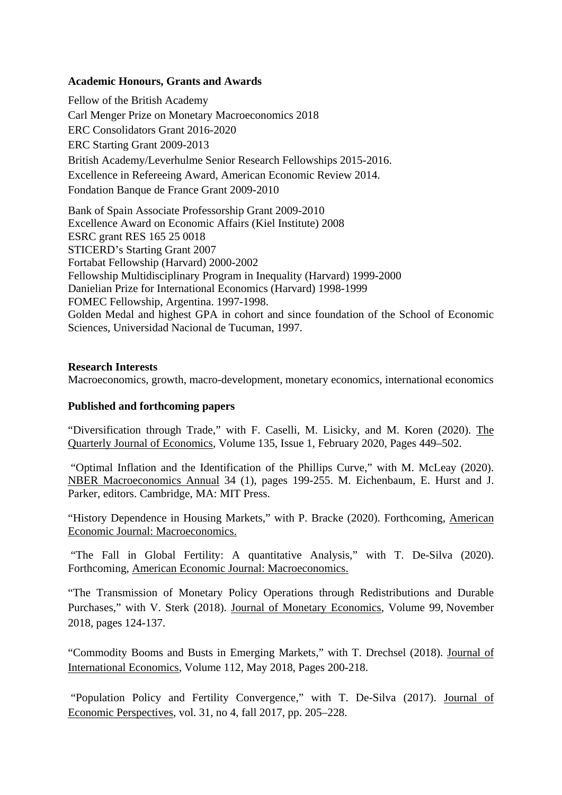## **Academic Honours, Grants and Awards**

Fellow of the British Academy Carl Menger Prize on Monetary Macroeconomics 2018 ERC Consolidators Grant 2016-2020 ERC Starting Grant 2009-2013 British Academy/Leverhulme Senior Research Fellowships 2015-2016. Excellence in Refereeing Award, American Economic Review 2014. Fondation Banque de France Grant 2009-2010

Bank of Spain Associate Professorship Grant 2009-2010 Excellence Award on Economic Affairs (Kiel Institute) 2008 ESRC grant RES 165 25 0018 STICERD's Starting Grant 2007 Fortabat Fellowship (Harvard) 2000-2002 Fellowship Multidisciplinary Program in Inequality (Harvard) 1999-2000 Danielian Prize for International Economics (Harvard) 1998-1999 FOMEC Fellowship, Argentina. 1997-1998. Golden Medal and highest GPA in cohort and since foundation of the School of Economic Sciences, Universidad Nacional de Tucuman, 1997.

### **Research Interests**

Macroeconomics, growth, macro-development, monetary economics, international economics

### **Published and forthcoming papers**

"Diversification through Trade," with F. Caselli, M. Lisicky, and M. Koren (2020). The Quarterly Journal of Economics, Volume 135, Issue 1, February 2020, Pages 449–502.

 "Optimal Inflation and the Identification of the Phillips Curve," with M. McLeay (2020). NBER Macroeconomics Annual 34 (1), pages 199-255. M. Eichenbaum, E. Hurst and J. Parker, editors. Cambridge, MA: MIT Press.

"History Dependence in Housing Markets," with P. Bracke (2020). Forthcoming, American Economic Journal: Macroeconomics.

 "The Fall in Global Fertility: A quantitative Analysis," with T. De-Silva (2020). Forthcoming, American Economic Journal: Macroeconomics.

"The Transmission of Monetary Policy Operations through Redistributions and Durable Purchases," with V. Sterk (2018). Journal of Monetary Economics, Volume 99, November 2018, pages 124-137.

"Commodity Booms and Busts in Emerging Markets," with T. Drechsel (2018). Journal of International Economics, Volume 112, May 2018, Pages 200-218.

 "Population Policy and Fertility Convergence," with T. De-Silva (2017). Journal of Economic Perspectives, vol. 31, no 4, fall 2017, pp. 205–228.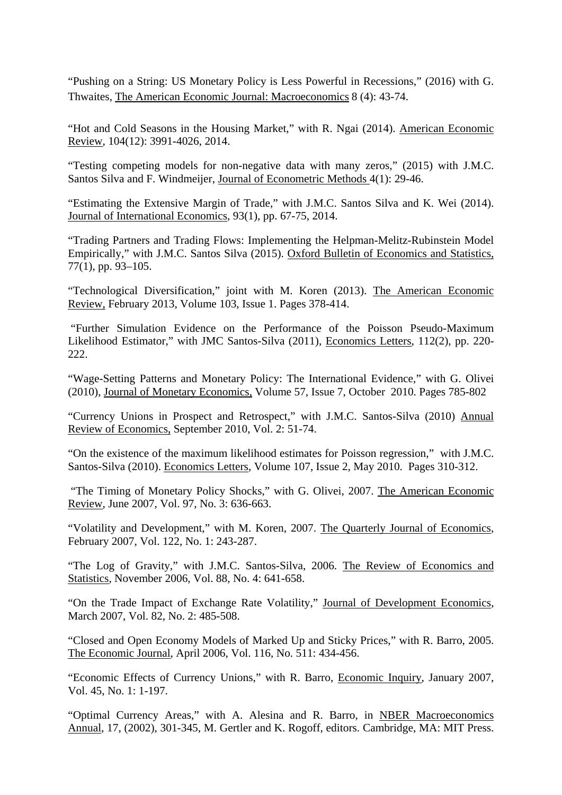"Pushing on a String: US Monetary Policy is Less Powerful in Recessions," (2016) with G. Thwaites, The American Economic Journal: Macroeconomics 8 (4): 43-74.

"Hot and Cold Seasons in the Housing Market," with R. Ngai (2014). American Economic Review, 104(12): 3991-4026, 2014.

"Testing competing models for non-negative data with many zeros," (2015) with J.M.C. Santos Silva and F. Windmeijer, Journal of Econometric Methods 4(1): 29-46.

"Estimating the Extensive Margin of Trade," with J.M.C. Santos Silva and K. Wei (2014). Journal of International Economics, 93(1), pp. 67-75, 2014.

"Trading Partners and Trading Flows: Implementing the Helpman-Melitz-Rubinstein Model Empirically," with J.M.C. Santos Silva (2015). Oxford Bulletin of Economics and Statistics, 77(1), pp. 93–105.

"Technological Diversification," joint with M. Koren (2013). The American Economic Review, February 2013, Volume 103, Issue 1. Pages 378-414.

 "Further Simulation Evidence on the Performance of the Poisson Pseudo-Maximum Likelihood Estimator," with JMC Santos-Silva (2011), Economics Letters, 112(2), pp. 220- 222.

"Wage-Setting Patterns and Monetary Policy: The International Evidence," with G. Olivei (2010), Journal of Monetary Economics, Volume 57, Issue 7, October 2010. Pages 785-802

"Currency Unions in Prospect and Retrospect," with J.M.C. Santos-Silva (2010) Annual Review of Economics, September 2010, Vol. 2: 51-74.

"On the existence of the maximum likelihood estimates for Poisson regression," with J.M.C. Santos-Silva (2010). Economics Letters, Volume 107, Issue 2, May 2010. Pages 310-312.

 "The Timing of Monetary Policy Shocks," with G. Olivei, 2007. The American Economic Review, June 2007, Vol. 97, No. 3: 636-663.

"Volatility and Development," with M. Koren, 2007. The Quarterly Journal of Economics, February 2007, Vol. 122, No. 1: 243-287.

"The Log of Gravity," with J.M.C. Santos-Silva, 2006. The Review of Economics and Statistics, November 2006, Vol. 88, No. 4: 641-658.

"On the Trade Impact of Exchange Rate Volatility," Journal of Development Economics, March 2007, Vol. 82, No. 2: 485-508.

"Closed and Open Economy Models of Marked Up and Sticky Prices," with R. Barro, 2005. The Economic Journal, April 2006, Vol. 116, No. 511: 434-456.

"Economic Effects of Currency Unions," with R. Barro, Economic Inquiry, January 2007, Vol. 45, No. 1: 1-197.

"Optimal Currency Areas," with A. Alesina and R. Barro, in NBER Macroeconomics Annual, 17, (2002), 301-345, M. Gertler and K. Rogoff, editors. Cambridge, MA: MIT Press.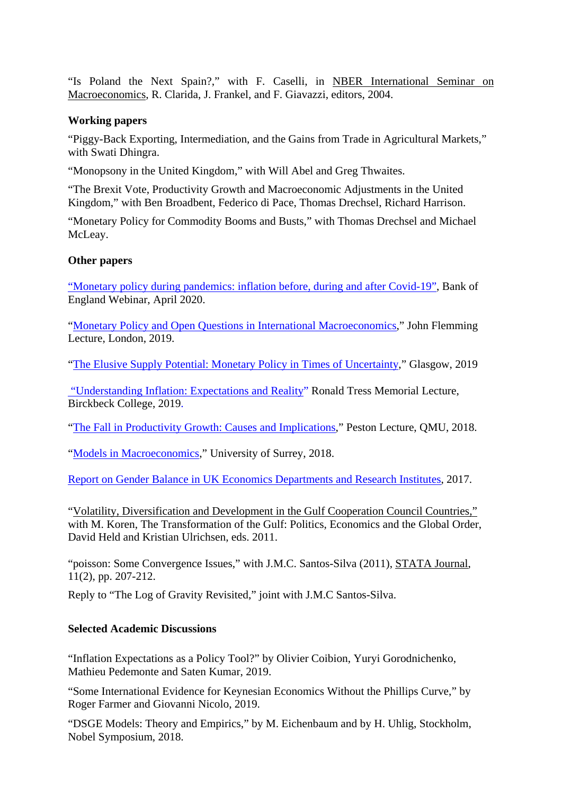"Is Poland the Next Spain?," with F. Caselli, in NBER International Seminar on Macroeconomics, R. Clarida, J. Frankel, and F. Giavazzi, editors, 2004.

### **Working papers**

"Piggy-Back Exporting, Intermediation, and the Gains from Trade in Agricultural Markets," with Swati Dhingra.

"Monopsony in the United Kingdom," with Will Abel and Greg Thwaites.

"The Brexit Vote, Productivity Growth and Macroeconomic Adjustments in the United Kingdom," with Ben Broadbent, Federico di Pace, Thomas Drechsel, Richard Harrison.

"Monetary Policy for Commodity Booms and Busts," with Thomas Drechsel and Michael McLeay.

### **Other papers**

"Monetary policy during pandemics: inflation before, during and after Covid-19", Bank of England Webinar, April 2020.

"Monetary Policy and Open Questions in International Macroeconomics," John Flemming Lecture, London, 2019.

"The Elusive Supply Potential: Monetary Policy in Times of Uncertainty," Glasgow, 2019

 "Understanding Inflation: Expectations and Reality" Ronald Tress Memorial Lecture, Birckbeck College, 2019.

"The Fall in Productivity Growth: Causes and Implications," Peston Lecture, QMU, 2018.

"Models in Macroeconomics," University of Surrey, 2018.

Report on Gender Balance in UK Economics Departments and Research Institutes, 2017.

"Volatility, Diversification and Development in the Gulf Cooperation Council Countries," with M. Koren, The Transformation of the Gulf: Politics, Economics and the Global Order, David Held and Kristian Ulrichsen, eds. 2011.

"poisson: Some Convergence Issues," with J.M.C. Santos-Silva (2011), STATA Journal, 11(2), pp. 207-212.

Reply to "The Log of Gravity Revisited," joint with J.M.C Santos-Silva.

# **Selected Academic Discussions**

"Inflation Expectations as a Policy Tool?" by Olivier Coibion, Yuryi Gorodnichenko, Mathieu Pedemonte and Saten Kumar, 2019.

"Some International Evidence for Keynesian Economics Without the Phillips Curve," by Roger Farmer and Giovanni Nicolo, 2019.

"DSGE Models: Theory and Empirics," by M. Eichenbaum and by H. Uhlig, Stockholm, Nobel Symposium, 2018.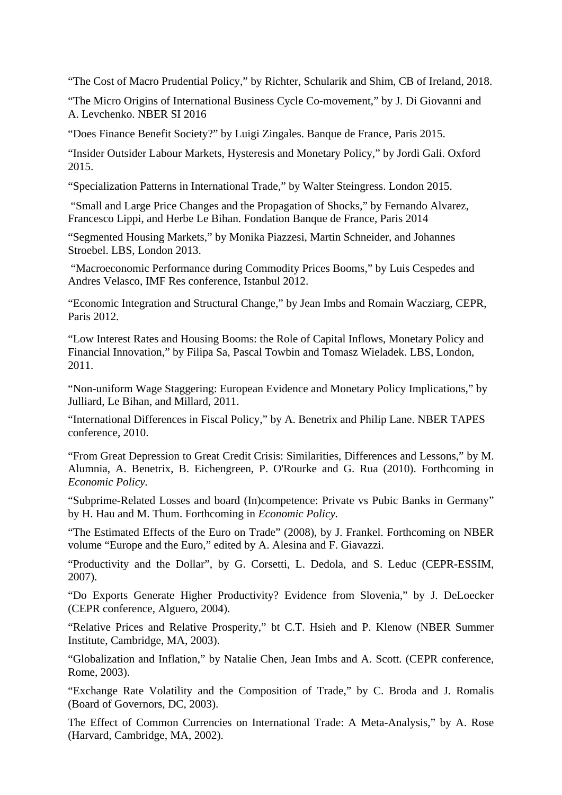"The Cost of Macro Prudential Policy," by Richter, Schularik and Shim, CB of Ireland, 2018.

"The Micro Origins of International Business Cycle Co-movement," by J. Di Giovanni and A. Levchenko. NBER SI 2016

"Does Finance Benefit Society?" by Luigi Zingales. Banque de France, Paris 2015.

"Insider Outsider Labour Markets, Hysteresis and Monetary Policy," by Jordi Gali. Oxford 2015.

"Specialization Patterns in International Trade," by Walter Steingress. London 2015.

 "Small and Large Price Changes and the Propagation of Shocks," by Fernando Alvarez, Francesco Lippi, and Herbe Le Bihan. Fondation Banque de France, Paris 2014

"Segmented Housing Markets," by Monika Piazzesi, Martin Schneider, and Johannes Stroebel. LBS, London 2013.

 "Macroeconomic Performance during Commodity Prices Booms," by Luis Cespedes and Andres Velasco, IMF Res conference, Istanbul 2012.

"Economic Integration and Structural Change," by Jean Imbs and Romain Wacziarg, CEPR, Paris 2012.

"Low Interest Rates and Housing Booms: the Role of Capital Inflows, Monetary Policy and Financial Innovation," by Filipa Sa, Pascal Towbin and Tomasz Wieladek. LBS, London, 2011.

"Non-uniform Wage Staggering: European Evidence and Monetary Policy Implications," by Julliard, Le Bihan, and Millard, 2011.

"International Differences in Fiscal Policy," by A. Benetrix and Philip Lane. NBER TAPES conference, 2010.

"From Great Depression to Great Credit Crisis: Similarities, Differences and Lessons," by M. Alumnia, A. Benetrix, B. Eichengreen, P. O'Rourke and G. Rua (2010). Forthcoming in *Economic Policy.* 

"Subprime-Related Losses and board (In)competence: Private vs Pubic Banks in Germany" by H. Hau and M. Thum. Forthcoming in *Economic Policy.*

"The Estimated Effects of the Euro on Trade" (2008), by J. Frankel. Forthcoming on NBER volume "Europe and the Euro," edited by A. Alesina and F. Giavazzi.

"Productivity and the Dollar", by G. Corsetti, L. Dedola, and S. Leduc (CEPR-ESSIM, 2007).

"Do Exports Generate Higher Productivity? Evidence from Slovenia," by J. DeLoecker (CEPR conference, Alguero, 2004).

"Relative Prices and Relative Prosperity," bt C.T. Hsieh and P. Klenow (NBER Summer Institute, Cambridge, MA, 2003).

"Globalization and Inflation," by Natalie Chen, Jean Imbs and A. Scott. (CEPR conference, Rome, 2003).

"Exchange Rate Volatility and the Composition of Trade," by C. Broda and J. Romalis (Board of Governors, DC, 2003).

The Effect of Common Currencies on International Trade: A Meta-Analysis," by A. Rose (Harvard, Cambridge, MA, 2002).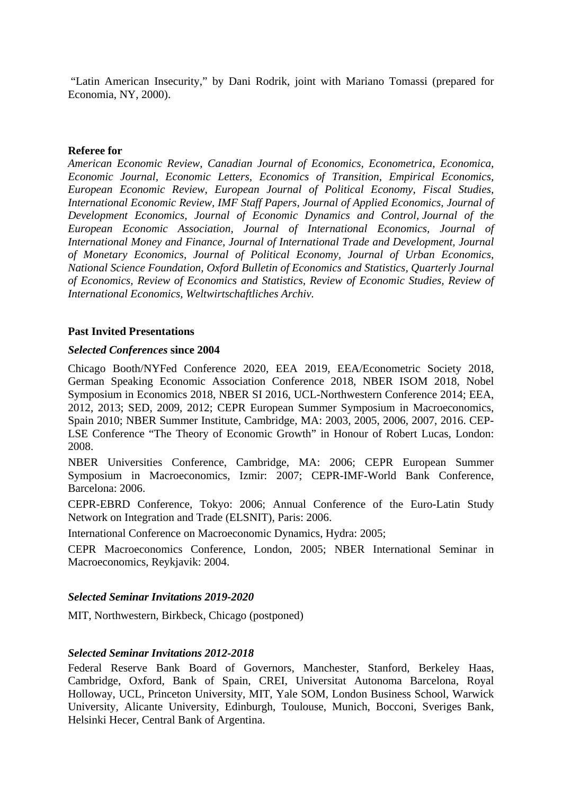"Latin American Insecurity," by Dani Rodrik, joint with Mariano Tomassi (prepared for Economia, NY, 2000).

#### **Referee for**

*American Economic Review, Canadian Journal of Economics, Econometrica, Economica, Economic Journal, Economic Letters, Economics of Transition, Empirical Economics, European Economic Review, European Journal of Political Economy, Fiscal Studies, International Economic Review, IMF Staff Papers, Journal of Applied Economics, Journal of Development Economics, Journal of Economic Dynamics and Control, Journal of the European Economic Association, Journal of International Economics, Journal of International Money and Finance, Journal of International Trade and Development, Journal of Monetary Economics, Journal of Political Economy, Journal of Urban Economics, National Science Foundation, Oxford Bulletin of Economics and Statistics, Quarterly Journal of Economics, Review of Economics and Statistics, Review of Economic Studies, Review of International Economics, Weltwirtschaftliches Archiv.* 

#### **Past Invited Presentations**

#### *Selected Conferences* **since 2004**

Chicago Booth/NYFed Conference 2020, EEA 2019, EEA/Econometric Society 2018, German Speaking Economic Association Conference 2018, NBER ISOM 2018, Nobel Symposium in Economics 2018, NBER SI 2016, UCL-Northwestern Conference 2014; EEA, 2012, 2013; SED, 2009, 2012; CEPR European Summer Symposium in Macroeconomics, Spain 2010; NBER Summer Institute, Cambridge, MA: 2003, 2005, 2006, 2007, 2016. CEP-LSE Conference "The Theory of Economic Growth" in Honour of Robert Lucas, London: 2008.

NBER Universities Conference, Cambridge, MA: 2006; CEPR European Summer Symposium in Macroeconomics, Izmir: 2007; CEPR-IMF-World Bank Conference, Barcelona: 2006.

CEPR-EBRD Conference, Tokyo: 2006; Annual Conference of the Euro-Latin Study Network on Integration and Trade (ELSNIT), Paris: 2006.

International Conference on Macroeconomic Dynamics, Hydra: 2005;

CEPR Macroeconomics Conference, London, 2005; NBER International Seminar in Macroeconomics, Reykjavik: 2004.

### *Selected Seminar Invitations 2019-2020*

MIT, Northwestern, Birkbeck, Chicago (postponed)

### *Selected Seminar Invitations 2012-2018*

Federal Reserve Bank Board of Governors, Manchester, Stanford, Berkeley Haas, Cambridge, Oxford, Bank of Spain, CREI, Universitat Autonoma Barcelona, Royal Holloway, UCL, Princeton University, MIT, Yale SOM, London Business School, Warwick University, Alicante University, Edinburgh, Toulouse, Munich, Bocconi, Sveriges Bank, Helsinki Hecer, Central Bank of Argentina.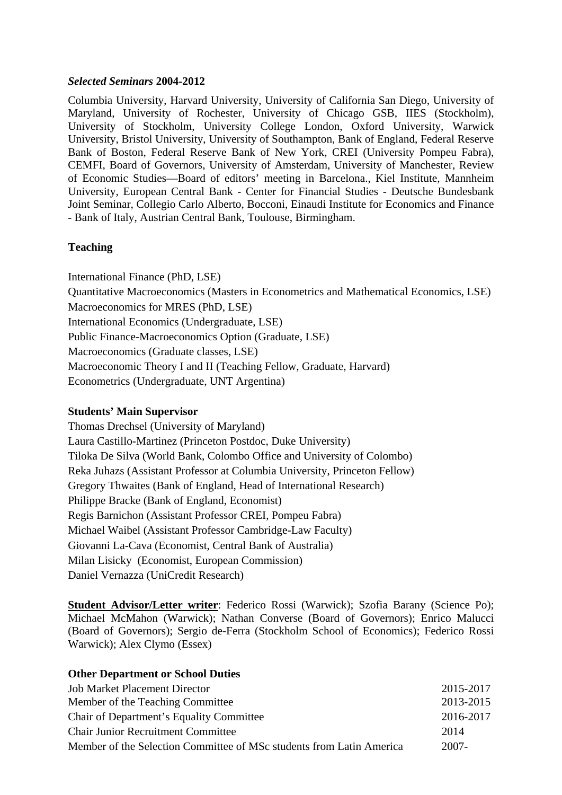### *Selected Seminars* **2004-2012**

Columbia University, Harvard University, University of California San Diego, University of Maryland, University of Rochester, University of Chicago GSB, IIES (Stockholm), University of Stockholm, University College London, Oxford University, Warwick University, Bristol University, University of Southampton, Bank of England, Federal Reserve Bank of Boston, Federal Reserve Bank of New York, CREI (University Pompeu Fabra), CEMFI, Board of Governors, University of Amsterdam, University of Manchester, Review of Economic Studies—Board of editors' meeting in Barcelona., Kiel Institute, Mannheim University, European Central Bank - Center for Financial Studies - Deutsche Bundesbank Joint Seminar, Collegio Carlo Alberto, Bocconi, Einaudi Institute for Economics and Finance - Bank of Italy, Austrian Central Bank, Toulouse, Birmingham.

# **Teaching**

International Finance (PhD, LSE) Quantitative Macroeconomics (Masters in Econometrics and Mathematical Economics, LSE) Macroeconomics for MRES (PhD, LSE) International Economics (Undergraduate, LSE) Public Finance-Macroeconomics Option (Graduate, LSE) Macroeconomics (Graduate classes, LSE) Macroeconomic Theory I and II (Teaching Fellow, Graduate, Harvard) Econometrics (Undergraduate, UNT Argentina)

# **Students' Main Supervisor**

Thomas Drechsel (University of Maryland) Laura Castillo-Martinez (Princeton Postdoc, Duke University) Tiloka De Silva (World Bank, Colombo Office and University of Colombo) Reka Juhazs (Assistant Professor at Columbia University, Princeton Fellow) Gregory Thwaites (Bank of England, Head of International Research) Philippe Bracke (Bank of England, Economist) Regis Barnichon (Assistant Professor CREI, Pompeu Fabra) Michael Waibel (Assistant Professor Cambridge-Law Faculty) Giovanni La-Cava (Economist, Central Bank of Australia) Milan Lisicky (Economist, European Commission) Daniel Vernazza (UniCredit Research)

**Student Advisor/Letter writer**: Federico Rossi (Warwick); Szofia Barany (Science Po); Michael McMahon (Warwick); Nathan Converse (Board of Governors); Enrico Malucci (Board of Governors); Sergio de-Ferra (Stockholm School of Economics); Federico Rossi Warwick); Alex Clymo (Essex)

| <b>Other Department or School Duties</b>                             |           |
|----------------------------------------------------------------------|-----------|
| <b>Job Market Placement Director</b>                                 | 2015-2017 |
| Member of the Teaching Committee                                     | 2013-2015 |
| <b>Chair of Department's Equality Committee</b>                      | 2016-2017 |
| <b>Chair Junior Recruitment Committee</b>                            | 2014      |
| Member of the Selection Committee of MSc students from Latin America | $2007 -$  |